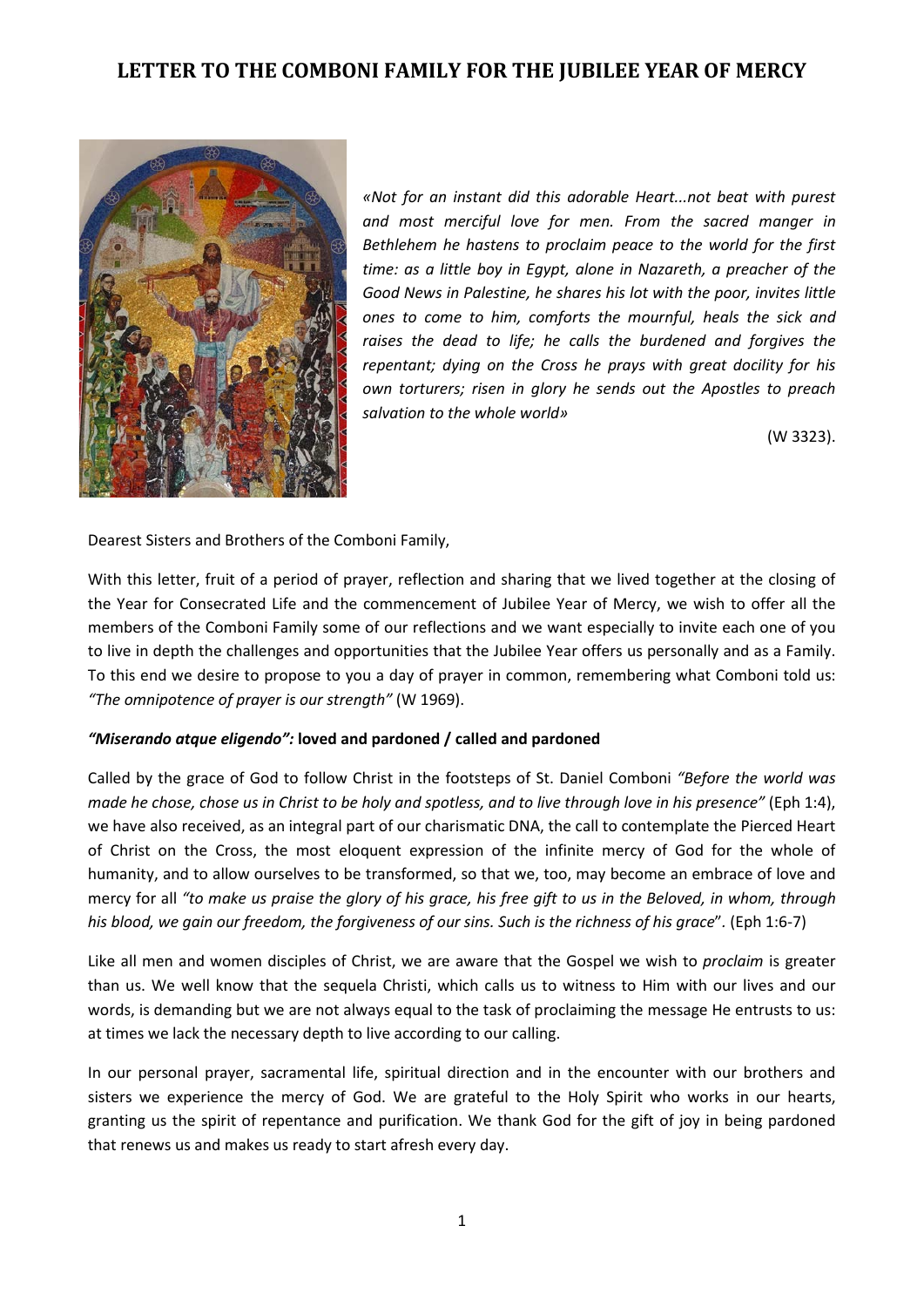# **LETTER TO THE COMBONI FAMILY FOR THE JUBILEE YEAR OF MERCY**



*«Not for an instant did this adorable Heart...not beat with purest and most merciful love for men. From the sacred manger in Bethlehem he hastens to proclaim peace to the world for the first time: as a little boy in Egypt, alone in Nazareth, a preacher of the Good News in Palestine, he shares his lot with the poor, invites little ones to come to him, comforts the mournful, heals the sick and raises the dead to life; he calls the burdened and forgives the repentant; dying on the Cross he prays with great docility for his own torturers; risen in glory he sends out the Apostles to preach salvation to the whole world»*

(W 3323).

Dearest Sisters and Brothers of the Comboni Family,

With this letter, fruit of a period of prayer, reflection and sharing that we lived together at the closing of the Year for Consecrated Life and the commencement of Jubilee Year of Mercy, we wish to offer all the members of the Comboni Family some of our reflections and we want especially to invite each one of you to live in depth the challenges and opportunities that the Jubilee Year offers us personally and as a Family. To this end we desire to propose to you a day of prayer in common, remembering what Comboni told us: *"The omnipotence of prayer is our strength"* (W 1969).

# *"Miserando atque eligendo":* **loved and pardoned / called and pardoned**

Called by the grace of God to follow Christ in the footsteps of St. Daniel Comboni *"Before the world was made he chose, chose us in Christ to be holy and spotless, and to live through love in his presence"* (Eph 1:4), we have also received, as an integral part of our charismatic DNA, the call to contemplate the Pierced Heart of Christ on the Cross, the most eloquent expression of the infinite mercy of God for the whole of humanity, and to allow ourselves to be transformed, so that we, too, may become an embrace of love and mercy for all *"to make us praise the glory of his grace, his free gift to us in the Beloved, in whom, through his blood, we gain our freedom, the forgiveness of our sins. Such is the richness of his grace*"*.* (Eph 1:6-7)

Like all men and women disciples of Christ, we are aware that the Gospel we wish to *proclaim* is greater than us. We well know that the sequela Christi, which calls us to witness to Him with our lives and our words, is demanding but we are not always equal to the task of proclaiming the message He entrusts to us: at times we lack the necessary depth to live according to our calling.

In our personal prayer, sacramental life, spiritual direction and in the encounter with our brothers and sisters we experience the mercy of God. We are grateful to the Holy Spirit who works in our hearts, granting us the spirit of repentance and purification. We thank God for the gift of joy in being pardoned that renews us and makes us ready to start afresh every day.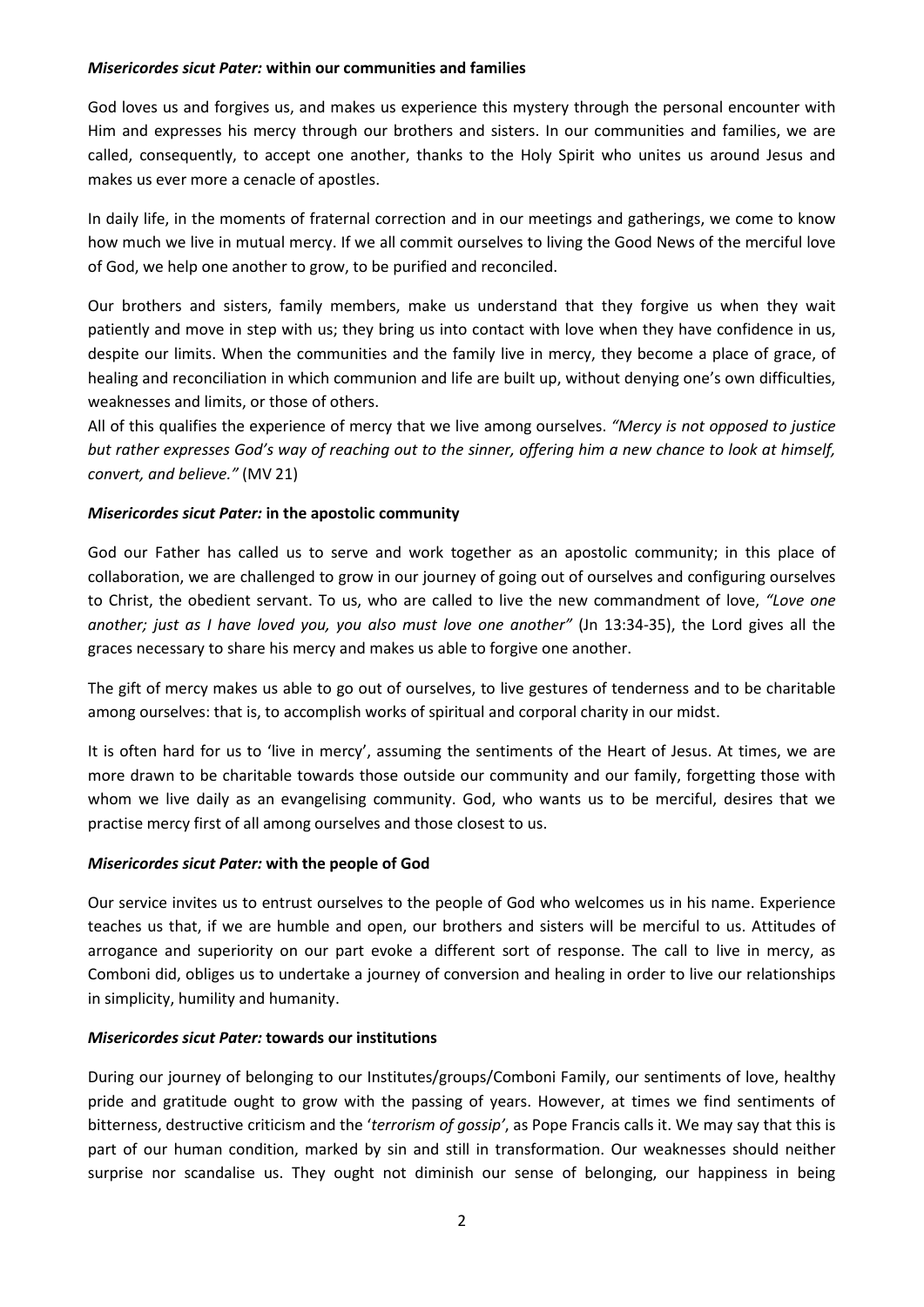#### *Misericordes sicut Pater:* **within our communities and families**

God loves us and forgives us, and makes us experience this mystery through the personal encounter with Him and expresses his mercy through our brothers and sisters. In our communities and families, we are called, consequently, to accept one another, thanks to the Holy Spirit who unites us around Jesus and makes us ever more a cenacle of apostles.

In daily life, in the moments of fraternal correction and in our meetings and gatherings, we come to know how much we live in mutual mercy. If we all commit ourselves to living the Good News of the merciful love of God, we help one another to grow, to be purified and reconciled.

Our brothers and sisters, family members, make us understand that they forgive us when they wait patiently and move in step with us; they bring us into contact with love when they have confidence in us, despite our limits. When the communities and the family live in mercy, they become a place of grace, of healing and reconciliation in which communion and life are built up, without denying one's own difficulties, weaknesses and limits, or those of others.

All of this qualifies the experience of mercy that we live among ourselves. *"Mercy is not opposed to justice but rather expresses God's way of reaching out to the sinner, offering him a new chance to look at himself, convert, and believe."* (MV 21)

#### *Misericordes sicut Pater:* **in the apostolic community**

God our Father has called us to serve and work together as an apostolic community; in this place of collaboration, we are challenged to grow in our journey of going out of ourselves and configuring ourselves to Christ, the obedient servant. To us, who are called to live the new commandment of love, *"Love one another; just as I have loved you, you also must love one another"* (Jn 13:34-35), the Lord gives all the graces necessary to share his mercy and makes us able to forgive one another.

The gift of mercy makes us able to go out of ourselves, to live gestures of tenderness and to be charitable among ourselves: that is, to accomplish works of spiritual and corporal charity in our midst.

It is often hard for us to 'live in mercy', assuming the sentiments of the Heart of Jesus. At times, we are more drawn to be charitable towards those outside our community and our family, forgetting those with whom we live daily as an evangelising community. God, who wants us to be merciful, desires that we practise mercy first of all among ourselves and those closest to us.

#### *Misericordes sicut Pater:* **with the people of God**

Our service invites us to entrust ourselves to the people of God who welcomes us in his name. Experience teaches us that, if we are humble and open, our brothers and sisters will be merciful to us. Attitudes of arrogance and superiority on our part evoke a different sort of response. The call to live in mercy, as Comboni did, obliges us to undertake a journey of conversion and healing in order to live our relationships in simplicity, humility and humanity.

#### *Misericordes sicut Pater:* **towards our institutions**

During our journey of belonging to our Institutes/groups/Comboni Family, our sentiments of love, healthy pride and gratitude ought to grow with the passing of years. However, at times we find sentiments of bitterness, destructive criticism and the '*terrorism of gossip'*, as Pope Francis calls it. We may say that this is part of our human condition, marked by sin and still in transformation. Our weaknesses should neither surprise nor scandalise us. They ought not diminish our sense of belonging, our happiness in being